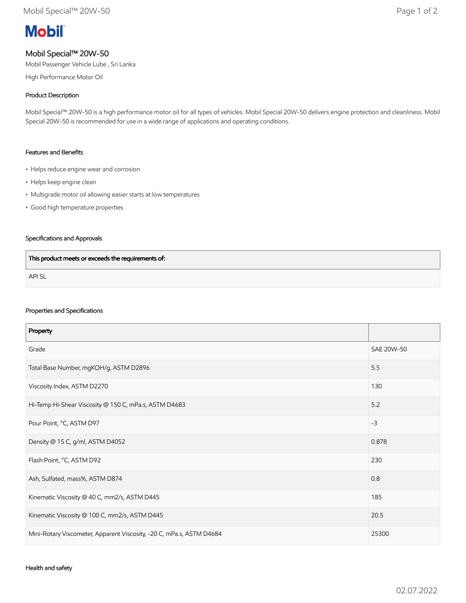# **Mobil**

## Mobil Special™ 20W-50

Mobil Passenger Vehicle Lube , Sri Lanka

High Performance Motor Oil

### Product Description

Mobil Special™ 20W-50 is a high performance motor oil for all types of vehicles. Mobil Special 20W-50 delivers engine protection and cleanliness. Mobil Special 20W-50 is recommended for use in a wide range of applications and operating conditions.

#### Features and Benefits

- Helps reduce engine wear and corrosion
- Helps keep engine clean
- Multigrade motor oil allowing easier starts at low temperatures
- Good high temperature properties

### Specifications and Approvals

| This product meets or exceeds the requirements of: |  |
|----------------------------------------------------|--|
| <b>APISL</b>                                       |  |

#### Properties and Specifications

| Property                                                             |            |
|----------------------------------------------------------------------|------------|
| Grade                                                                | SAE 20W-50 |
| Total Base Number, mgKOH/g, ASTM D2896                               | 5.5        |
| Viscosity Index, ASTM D2270                                          | 130        |
| Hi-Temp Hi-Shear Viscosity @ 150 C, mPa.s, ASTM D4683                | 5.2        |
| Pour Point, °C, ASTM D97                                             | $-3$       |
| Density @ 15 C, g/ml, ASTM D4052                                     | 0.878      |
| Flash Point, °C, ASTM D92                                            | 230        |
| Ash, Sulfated, mass%, ASTM D874                                      | 0.8        |
| Kinematic Viscosity @ 40 C, mm2/s, ASTM D445                         | 185        |
| Kinematic Viscosity @ 100 C, mm2/s, ASTM D445                        | 20.5       |
| Mini-Rotary Viscometer, Apparent Viscosity, -20 C, mPa.s, ASTM D4684 | 25300      |